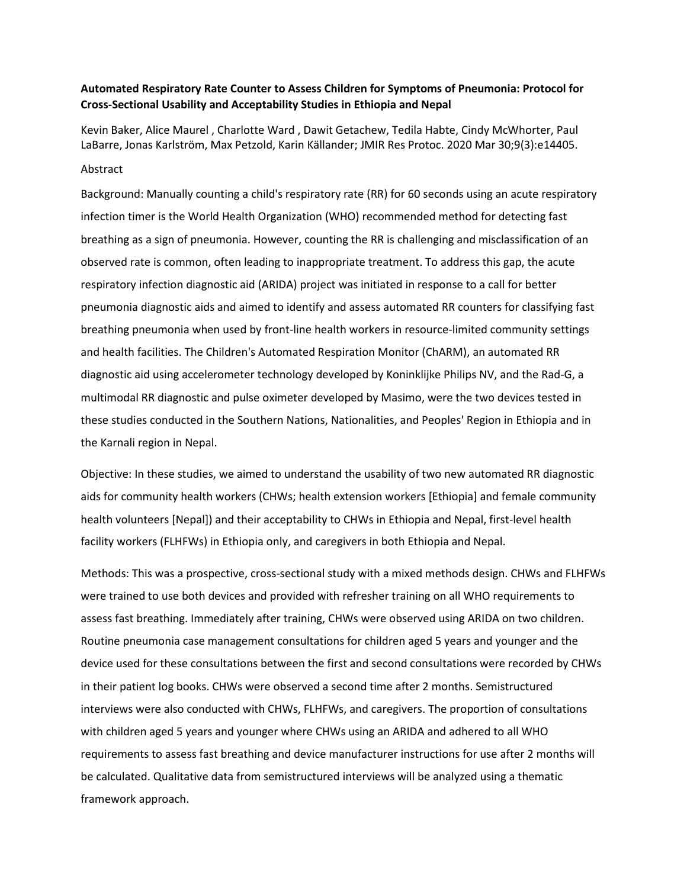## **Automated Respiratory Rate Counter to Assess Children for Symptoms of Pneumonia: Protocol for Cross-Sectional Usability and Acceptability Studies in Ethiopia and Nepal**

Kevin Baker, Alice Maurel , Charlotte Ward , Dawit Getachew, Tedila Habte, Cindy McWhorter, Paul LaBarre, Jonas Karlström, Max Petzold, Karin Källander; JMIR Res Protoc. 2020 Mar 30;9(3):e14405.

## Abstract

Background: Manually counting a child's respiratory rate (RR) for 60 seconds using an acute respiratory infection timer is the World Health Organization (WHO) recommended method for detecting fast breathing as a sign of pneumonia. However, counting the RR is challenging and misclassification of an observed rate is common, often leading to inappropriate treatment. To address this gap, the acute respiratory infection diagnostic aid (ARIDA) project was initiated in response to a call for better pneumonia diagnostic aids and aimed to identify and assess automated RR counters for classifying fast breathing pneumonia when used by front-line health workers in resource-limited community settings and health facilities. The Children's Automated Respiration Monitor (ChARM), an automated RR diagnostic aid using accelerometer technology developed by Koninklijke Philips NV, and the Rad-G, a multimodal RR diagnostic and pulse oximeter developed by Masimo, were the two devices tested in these studies conducted in the Southern Nations, Nationalities, and Peoples' Region in Ethiopia and in the Karnali region in Nepal.

Objective: In these studies, we aimed to understand the usability of two new automated RR diagnostic aids for community health workers (CHWs; health extension workers [Ethiopia] and female community health volunteers [Nepal]) and their acceptability to CHWs in Ethiopia and Nepal, first-level health facility workers (FLHFWs) in Ethiopia only, and caregivers in both Ethiopia and Nepal.

Methods: This was a prospective, cross-sectional study with a mixed methods design. CHWs and FLHFWs were trained to use both devices and provided with refresher training on all WHO requirements to assess fast breathing. Immediately after training, CHWs were observed using ARIDA on two children. Routine pneumonia case management consultations for children aged 5 years and younger and the device used for these consultations between the first and second consultations were recorded by CHWs in their patient log books. CHWs were observed a second time after 2 months. Semistructured interviews were also conducted with CHWs, FLHFWs, and caregivers. The proportion of consultations with children aged 5 years and younger where CHWs using an ARIDA and adhered to all WHO requirements to assess fast breathing and device manufacturer instructions for use after 2 months will be calculated. Qualitative data from semistructured interviews will be analyzed using a thematic framework approach.